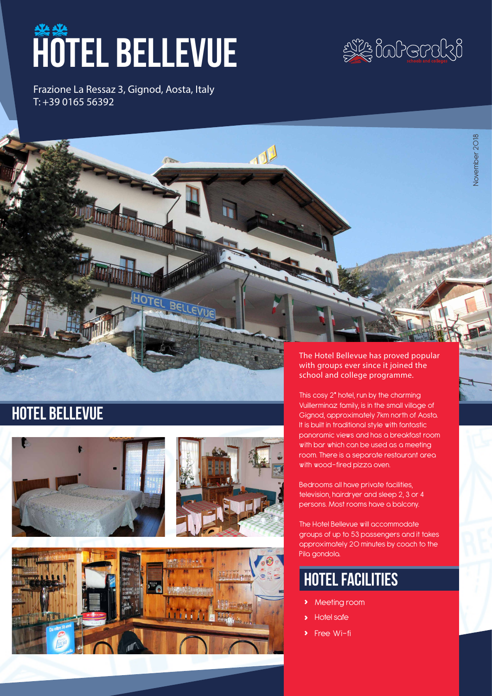# **HOTEL BELLEVUE**

Frazione La Ressaz 3, Gignod, Aosta, Italy T: +39 0165 56392



November 2018

November 2018

## hotel bellevue



BELLET



#### The Hotel Bellevue has proved popular with groups ever since it joined the school and college programme.

This cosy 2\* hotel, run by the charming Vuillerminaz family, is in the small village of Gignod, approximately 7km north of Aosta. It is built in traditional style with fantastic panoramic views and has a breakfast room with bar which can be used as a meeting room. There is a separate restaurant area with wood-fired pizza oven.

Bedrooms all have private facilities, television, hairdryer and sleep 2, 3 or 4 persons. Most rooms have a balcony.

The Hotel Bellevue will accommodate groups of up to 53 passengers and it takes approximately 20 minutes by coach to the Pila gondola.

## hotel facilities

- **›** Meeting room
- **›** Hotel safe
- **›** Free Wi-fi